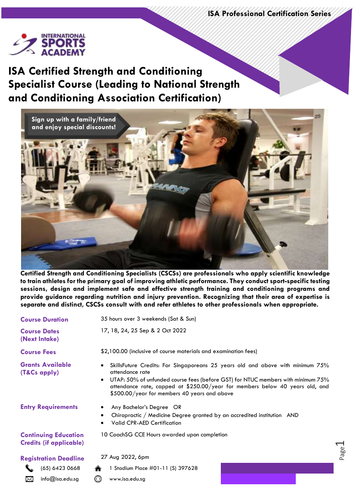Page  $\overline{\phantom{0}}$ 



### **ISA Certified Strength and Conditioning Specialist Course (Leading to National Strength and Conditioning Association Certification)**



**Certified Strength and Conditioning Specialists (CSCSs) are professionals who apply scientific knowledge to train athletes for the primary goal of improving athletic performance. They conduct sport-specific testing sessions, design and implement safe and effective strength training and conditioning programs and provide guidance regarding nutrition and injury prevention. Recognizing that their area of expertise is separate and distinct, CSCSs consult with and refer athletes to other professionals when appropriate.**

| <b>Course Duration</b>                                        | 35 hours over 3 weekends (Sat & Sun)                                                                                                                                                                                                                                                                                                            |
|---------------------------------------------------------------|-------------------------------------------------------------------------------------------------------------------------------------------------------------------------------------------------------------------------------------------------------------------------------------------------------------------------------------------------|
| <b>Course Dates</b><br>(Next Intake)                          | 17, 18, 24, 25 Sep & 2 Oct 2022                                                                                                                                                                                                                                                                                                                 |
| <b>Course Fees</b>                                            | \$2,100.00 (inclusive of course materials and examination fees)                                                                                                                                                                                                                                                                                 |
| <b>Grants Available</b><br>(T&Cs apply)                       | SkillsFuture Credits: For Singaporeans 25 years old and above with minimum 75%<br>$\bullet$<br>attendance rate<br>UTAP: 50% of unfunded course fees (before GST) for NTUC members with minimum 75%<br>$\bullet$<br>attendance rate, capped at \$250.00/year for members below 40 years old, and<br>\$500.00/year for members 40 years and above |
| <b>Entry Requirements</b>                                     | Any Bachelor's Degree OR<br>$\bullet$<br>Chiropractic / Medicine Degree granted by an accredited institution AND<br><b>Valid CPR-AED Certification</b>                                                                                                                                                                                          |
| <b>Continuing Education</b><br><b>Credits (if applicable)</b> | 10 CoachSG CCE Hours awarded upon completion                                                                                                                                                                                                                                                                                                    |
| <b>Registration Deadline</b>                                  | 27 Aug 2022, 6pm                                                                                                                                                                                                                                                                                                                                |
| (65) 6423 0668                                                | 1 Stadium Place #01-11 (S) 397628                                                                                                                                                                                                                                                                                                               |

info@isa.edu.sg www.isa.edu.sg

⊠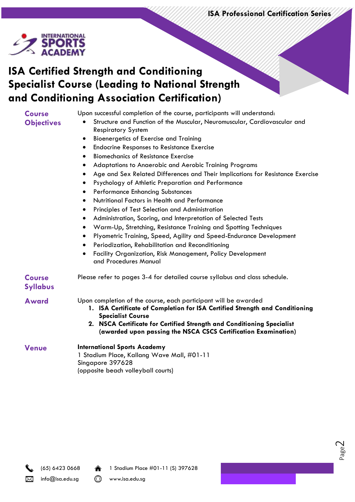**ISA Professional Certification Series**

Page  $\mathcal{\sim}$ 



# **ISA Certified Strength and Conditioning Specialist Course (Leading to National Strength and Conditioning Association Certification)**

| <b>Course</b>                    | Upon successful completion of the course, participants will understand:                                                                                                                                                                               |
|----------------------------------|-------------------------------------------------------------------------------------------------------------------------------------------------------------------------------------------------------------------------------------------------------|
| <b>Objectives</b>                | Structure and Function of the Muscular, Neuromuscular, Cardiovascular and<br><b>Respiratory System</b>                                                                                                                                                |
|                                  | <b>Bioenergetics of Exercise and Training</b><br>٠                                                                                                                                                                                                    |
|                                  | <b>Endocrine Responses to Resistance Exercise</b>                                                                                                                                                                                                     |
|                                  | <b>Biomechanics of Resistance Exercise</b>                                                                                                                                                                                                            |
|                                  | Adaptations to Anaerobic and Aerobic Training Programs                                                                                                                                                                                                |
|                                  | Age and Sex Related Differences and Their Implications for Resistance Exercise                                                                                                                                                                        |
|                                  | Psychology of Athletic Preparation and Performance<br>$\bullet$                                                                                                                                                                                       |
|                                  | <b>Performance Enhancing Substances</b><br>٠                                                                                                                                                                                                          |
|                                  | Nutritional Factors in Health and Performance<br>$\bullet$                                                                                                                                                                                            |
|                                  | Principles of Test Selection and Administration                                                                                                                                                                                                       |
|                                  | Administration, Scoring, and Interpretation of Selected Tests<br>$\bullet$                                                                                                                                                                            |
|                                  | Warm-Up, Stretching, Resistance Training and Spotting Techniques<br>$\bullet$                                                                                                                                                                         |
|                                  | Plyometric Training, Speed, Agility and Speed-Endurance Development                                                                                                                                                                                   |
|                                  | Periodization, Rehabilitation and Reconditioning<br>٠                                                                                                                                                                                                 |
|                                  | Facility Organization, Risk Management, Policy Development<br>and Procedures Manual                                                                                                                                                                   |
| <b>Course</b><br><b>Syllabus</b> | Please refer to pages 3-4 for detailed course syllabus and class schedule.                                                                                                                                                                            |
| <b>Award</b>                     | Upon completion of the course, each participant will be awarded<br>1. ISA Certificate of Completion for ISA Certified Strength and Conditioning<br><b>Specialist Course</b><br>2. NSCA Certificate for Certified Strength and Conditioning Specialist |
|                                  | (awarded upon passing the NSCA CSCS Certification Examination)                                                                                                                                                                                        |
| <b>Venue</b>                     | <b>International Sports Academy</b><br>1 Stadium Place, Kallang Wave Mall, #01-11                                                                                                                                                                     |
|                                  | Singapore 397628                                                                                                                                                                                                                                      |
|                                  | (opposite beach volleyball courts)                                                                                                                                                                                                                    |



(65) 6423 0668 1 Stadium Place #01-11 (S) 397628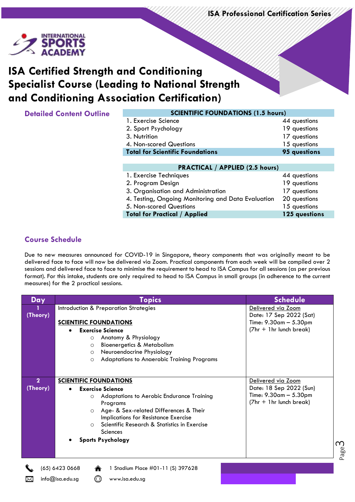Page



# **ISA Certified Strength and Conditioning Specialist Course (Leading to National Strength and Conditioning Association Certification)**

| <b>Detailed Content Outline</b> |  |  |
|---------------------------------|--|--|
|---------------------------------|--|--|

| <b>Detailed Content Outline</b> | <b>SCIENTIFIC FOUNDATIONS (1.5 hours)</b>          |               |  |
|---------------------------------|----------------------------------------------------|---------------|--|
|                                 | 1. Exercise Science                                | 44 questions  |  |
|                                 | 2. Sport Psychology                                | 19 questions  |  |
|                                 | 3. Nutrition                                       | 17 questions  |  |
|                                 | 4. Non-scored Questions                            | 15 questions  |  |
|                                 | <b>Total for Scientific Foundations</b>            | 95 questions  |  |
|                                 |                                                    |               |  |
|                                 | <b>PRACTICAL / APPLIED (2.5 hours)</b>             |               |  |
|                                 | 1. Exercise Techniques                             | 44 questions  |  |
|                                 | 2. Program Design                                  | 19 questions  |  |
|                                 | 3. Organisation and Administration                 | 17 questions  |  |
|                                 | 4. Testing, Ongoing Monitoring and Data Evaluation | 20 questions  |  |
|                                 | 5. Non-scored Questions                            | 15 questions  |  |
|                                 | <b>Total for Practical / Applied</b>               | 125 questions |  |

#### **Course Schedule**

Due to new measures announced for COVID-19 in Singapore, theory components that was originally meant to be delivered face to face will now be delivered via Zoom. Practical components from each week will be compiled over 2 sessions and delivered face to face to minimise the requirement to head to ISA Campus for all sessions (as per previous format). For this intake, students are only required to head to ISA Campus in small groups (in adherence to the current measures) for the 2 practical sessions.

| Day                      | <b>Topics</b>                                                                                                                                                                                                                                                                                           | <b>Schedule</b>                                                                                           |
|--------------------------|---------------------------------------------------------------------------------------------------------------------------------------------------------------------------------------------------------------------------------------------------------------------------------------------------------|-----------------------------------------------------------------------------------------------------------|
| (Theory)                 | Introduction & Preparation Strategies<br><b>SCIENTIFIC FOUNDATIONS</b>                                                                                                                                                                                                                                  | Delivered via Zoom<br>Date: 17 Sep 2022 (Sat)<br>Time: $9.30$ am $- 5.30$ pm                              |
|                          | <b>Exercise Science</b><br>Anatomy & Physiology<br>$\circ$<br><b>Bioenergetics &amp; Metabolism</b><br>$\circ$<br>Neuroendocrine Physiology<br>$\circ$<br><b>Adaptations to Anaerobic Training Programs</b><br>$\circ$                                                                                  | (7hr + 1hr lunch break)                                                                                   |
| $\mathbf{2}$<br>(Theory) | <b>SCIENTIFIC FOUNDATIONS</b><br><b>Exercise Science</b><br>Adaptations to Aerobic Endurance Training<br>$\circ$<br>Programs<br>Age- & Sex-related Differences & Their<br>$\circ$<br>Implications for Resistance Exercise<br>Scientific Research & Statistics in Exercise<br>$\circ$<br><b>Sciences</b> | Delivered via Zoom<br>Date: 18 Sep 2022 (Sun)<br>Time: $9.30$ am $- 5.30$ pm<br>$(7hr + 1hr$ lunch break) |
|                          | <b>Sports Psychology</b><br>(65) 6423 0668<br>1 Stadium Place #01-11 (S) 397628<br>info@isa.edu.sg<br>www.isa.edu.sg                                                                                                                                                                                    | ന                                                                                                         |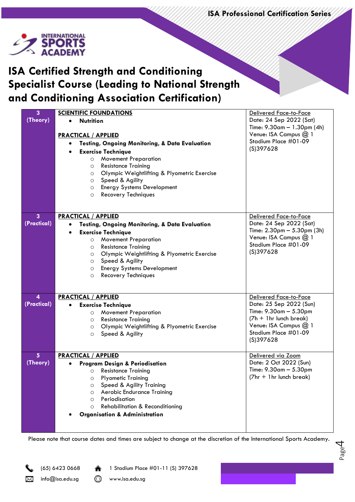**ISA Professional Certification Series**

Page 4



# **ISA Certified Strength and Conditioning Specialist Course (Leading to National Strength and Conditioning Association Certification)**

| 3                       | <b>SCIENTIFIC FOUNDATIONS</b>                               | Delivered Face-to-Face                          |
|-------------------------|-------------------------------------------------------------|-------------------------------------------------|
| (Theory)                | <b>Nutrition</b><br>$\bullet$                               | Date: 24 Sep 2022 (Sat)                         |
|                         |                                                             | Time: $9.30$ am $- 1.30$ pm (4h)                |
|                         | <b>PRACTICAL / APPLIED</b>                                  | Venue: ISA Campus @ 1                           |
|                         | Testing, Ongoing Monitoring, & Data Evaluation<br>$\bullet$ | Stadium Place #01-09                            |
|                         | <b>Exercise Technique</b>                                   | (S)397628                                       |
|                         | <b>Movement Preparation</b><br>$\circ$                      |                                                 |
|                         | <b>Resistance Training</b><br>$\circ$                       |                                                 |
|                         | Olympic Weightlifting & Plyometric Exercise<br>$\circ$      |                                                 |
|                         | Speed & Agility<br>$\circ$                                  |                                                 |
|                         | <b>Energy Systems Development</b><br>$\circ$                |                                                 |
|                         | Recovery Techniques<br>$\circ$                              |                                                 |
|                         |                                                             |                                                 |
|                         |                                                             |                                                 |
| $\overline{3}$          | <b>PRACTICAL / APPLIED</b>                                  | <b>Delivered Face-to-Face</b>                   |
| (Practical)             | Testing, Ongoing Monitoring, & Data Evaluation<br>٠         | Date: 24 Sep 2022 (Sat)                         |
|                         | <b>Exercise Technique</b><br>٠                              | Time: $2.30 \text{pm} - 5.30 \text{pm}$ (3h)    |
|                         | <b>Movement Preparation</b><br>O                            | Venue: ISA Campus @ 1                           |
|                         | <b>Resistance Training</b><br>$\circ$                       | Stadium Place #01-09                            |
|                         | Olympic Weightlifting & Plyometric Exercise<br>$\circ$      | (S)397628                                       |
|                         | Speed & Agility<br>$\circ$                                  |                                                 |
|                         | <b>Energy Systems Development</b><br>$\circ$                |                                                 |
|                         | <b>Recovery Techniques</b><br>$\circ$                       |                                                 |
|                         |                                                             |                                                 |
|                         |                                                             |                                                 |
| $\overline{\mathbf{4}}$ | <b>PRACTICAL / APPLIED</b>                                  | Delivered Face-to-Face                          |
| (Practical)             | <b>Exercise Technique</b>                                   | Date: 25 Sep 2022 (Sun)                         |
|                         | <b>Movement Preparation</b><br>$\circ$                      | Time: 9.30am - 5.30pm                           |
|                         | <b>Resistance Training</b><br>$\circ$                       | $(7h + 1hr$ lunch break)                        |
|                         | Olympic Weightlifting & Plyometric Exercise<br>$\circ$      | Venue: ISA Campus @ 1                           |
|                         | Speed & Agility<br>$\circ$                                  | Stadium Place #01-09                            |
|                         |                                                             | (S)397628                                       |
|                         |                                                             |                                                 |
| 5 <sup>5</sup>          | <b>PRACTICAL / APPLIED</b>                                  | Delivered via Zoom                              |
| (Theory)                | <b>Program Design &amp; Periodisation</b>                   | Date: 2 Oct 2022 (Sun)<br>Time: 9.30am - 5.30pm |
|                         | <b>Resistance Training</b><br>$\circ$                       | (7hr + 1hr lunch break)                         |
|                         | <b>Plyometic Training</b><br>O                              |                                                 |
|                         | Speed & Agility Training<br>$\circ$                         |                                                 |
|                         | Aerobic Endurance Training<br>$\circ$<br>Periodisation      |                                                 |
|                         | $\circ$<br><b>Rehabilitation &amp; Reconditioning</b>       |                                                 |
|                         | $\circ$                                                     |                                                 |
|                         |                                                             |                                                 |
|                         | <b>Organisation &amp; Administration</b>                    |                                                 |

Please note that course dates and times are subject to change at the discretion of the International Sports Academy.